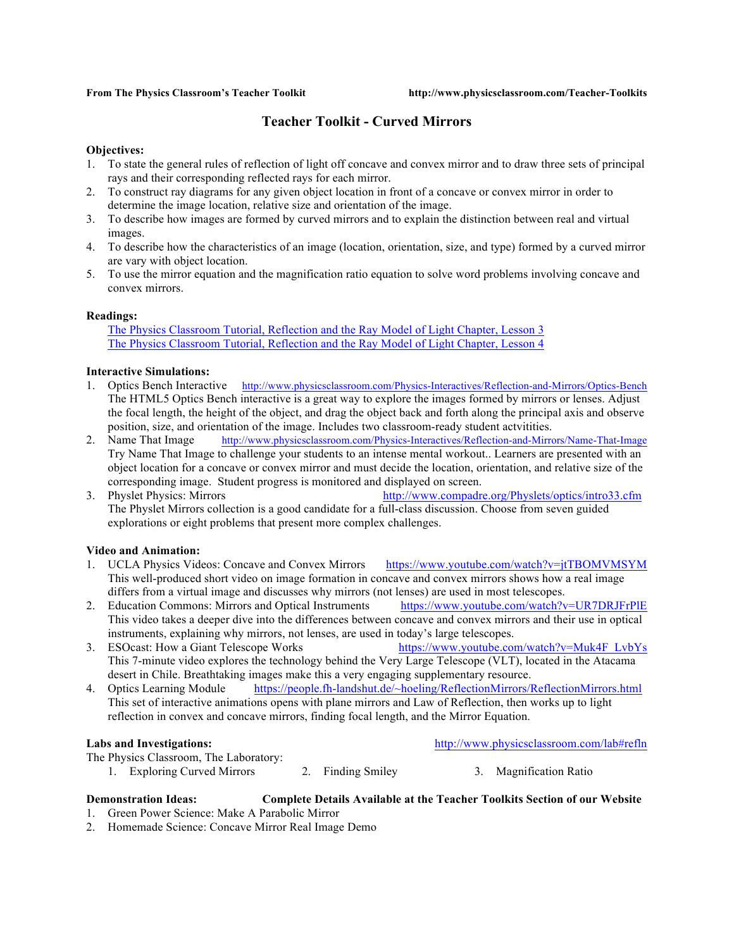## **Teacher Toolkit - Curved Mirrors**

### **Objectives:**

- 1. To state the general rules of reflection of light off concave and convex mirror and to draw three sets of principal rays and their corresponding reflected rays for each mirror.
- 2. To construct ray diagrams for any given object location in front of a concave or convex mirror in order to determine the image location, relative size and orientation of the image.
- 3. To describe how images are formed by curved mirrors and to explain the distinction between real and virtual images.
- 4. To describe how the characteristics of an image (location, orientation, size, and type) formed by a curved mirror are vary with object location.
- 5. To use the mirror equation and the magnification ratio equation to solve word problems involving concave and convex mirrors.

### **Readings:**

The Physics Classroom Tutorial, Reflection and the Ray Model of Light Chapter, Lesson 3 The Physics Classroom Tutorial, Reflection and the Ray Model of Light Chapter, Lesson 4

### **Interactive Simulations:**

- 1. Optics Bench Interactive http://www.physicsclassroom.com/Physics-Interactives/Reflection-and-Mirrors/Optics-Bench The HTML5 Optics Bench interactive is a great way to explore the images formed by mirrors or lenses. Adjust the focal length, the height of the object, and drag the object back and forth along the principal axis and observe position, size, and orientation of the image. Includes two classroom-ready student actvitities.
- 2. Name That Image http://www.physicsclassroom.com/Physics-Interactives/Reflection-and-Mirrors/Name-That-Image Try Name That Image to challenge your students to an intense mental workout.. Learners are presented with an object location for a concave or convex mirror and must decide the location, orientation, and relative size of the corresponding image. Student progress is monitored and displayed on screen.
- 3. Physlet Physics: Mirrors http://www.compadre.org/Physlets/optics/intro33.cfm The Physlet Mirrors collection is a good candidate for a full-class discussion. Choose from seven guided explorations or eight problems that present more complex challenges.

### **Video and Animation:**

- 1. UCLA Physics Videos: Concave and Convex Mirrors https://www.youtube.com/watch?v=jtTBOMVMSYM This well-produced short video on image formation in concave and convex mirrors shows how a real image differs from a virtual image and discusses why mirrors (not lenses) are used in most telescopes.
- 2. Education Commons: Mirrors and Optical Instruments https://www.youtube.com/watch?v=UR7DRJFrPlE This video takes a deeper dive into the differences between concave and convex mirrors and their use in optical instruments, explaining why mirrors, not lenses, are used in today's large telescopes.
- 3. ESOcast: How a Giant Telescope Works https://www.youtube.com/watch?v=Muk4F\_LvbYs This 7-minute video explores the technology behind the Very Large Telescope (VLT), located in the Atacama desert in Chile. Breathtaking images make this a very engaging supplementary resource.
- 4. Optics Learning Module https://people.fh-landshut.de/~hoeling/ReflectionMirrors/ReflectionMirrors.html This set of interactive animations opens with plane mirrors and Law of Reflection, then works up to light reflection in convex and concave mirrors, finding focal length, and the Mirror Equation.

### **Labs and Investigations:** http://www.physicsclassroom.com/lab#refln

The Physics Classroom, The Laboratory:

- 1. Exploring Curved Mirrors 2. Finding Smiley 3. Magnification Ratio
- -

# **Demonstration Ideas: Complete Details Available at the Teacher Toolkits Section of our Website**

- 1. Green Power Science: Make A Parabolic Mirror
- 2. Homemade Science: Concave Mirror Real Image Demo